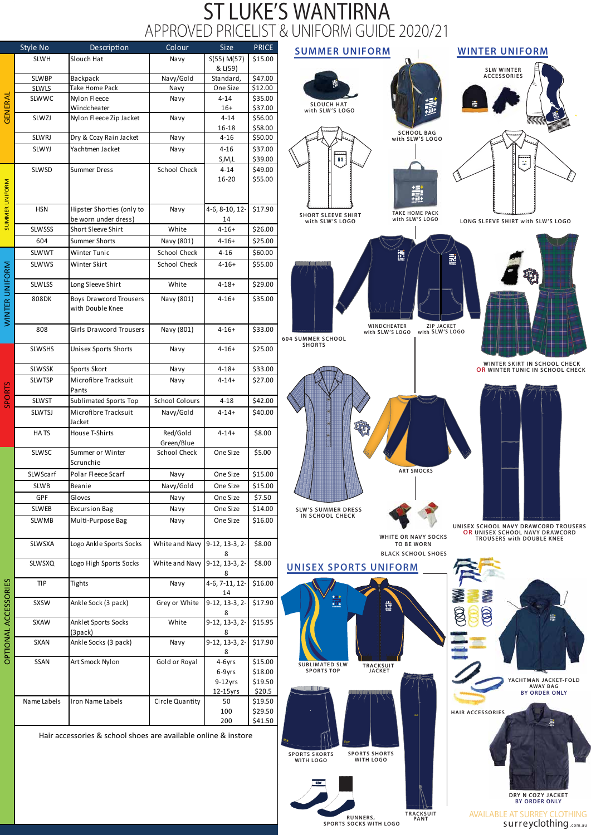## ST LUKE'S WANTIRNA APPROVED PRICELIST & UNIFORM GUIDE 2020/21





燾

ම්



| Slouch Hat<br><b>SLWH</b><br>S(55) M(57)<br>\$15.00<br>Navy<br>& L(59)<br>\$47.00<br>Navy/Gold<br><b>SLWBP</b><br>Backpack<br>Standard,<br>\$12.00<br>Take Home Pack<br>One Size<br>Navy<br><b>SLWLS</b><br>GENERAL<br>Nylon Fleece<br>\$35.00<br>SLWWC<br>$4 - 14$<br>Navy<br>\$37.00<br>Windcheater<br>$16+$<br>\$56.00<br>SLWZJ<br>Nylon Fleece Zip Jacket<br>$4 - 14$<br>Navy<br>\$58.00<br>16-18<br>Dry & Cozy Rain Jacket<br>$4 - 16$<br>\$50.00<br>SLWRJ<br>Navy<br>\$37.00<br>Yachtmen Jacket<br>$4 - 16$<br>SLWYJ<br>Navy<br>\$39.00<br>S,M,L<br>School Check<br>$4 - 14$<br>\$49.00<br><b>SLWSD</b><br><b>Summer Dress</b><br>\$55.00<br>16-20<br>SUMMER UNIFORM<br>\$17.90<br>Hipster Shorties (only to<br><b>HSN</b><br>4-6, 8-10, 12-<br>Navy<br>be worn under dress)<br>14<br>Short Sleeve Shirt<br>\$26.00<br><b>SLWSSS</b><br>White<br>$4 - 16 +$<br>Summer Shorts<br>604<br>Navy (801)<br>\$25.00<br>$4 - 16 +$<br>Winter Tunic<br>School Check<br>\$60.00<br><b>SLWWT</b><br>$4 - 16$<br>School Check<br>\$55.00<br>WINTER UNIFORM<br><b>SLWWS</b><br>Winter Skirt<br>$4 - 16 +$<br>Long Sleeve Shirt<br>\$29.00<br><b>SLWLSS</b><br>White<br>$4 - 18 +$<br><b>Boys Drawcord Trousers</b><br>Navy (801)<br>\$35.00<br>808DK<br>$4 - 16 +$<br>with Double Knee<br>\$33.00<br>808<br>Girls Drawcord Trousers<br>Navy (801)<br>$4 - 16 +$<br>\$25.00<br><b>SLWSHS</b><br>$4 - 16 +$<br><b>Unisex Sports Shorts</b><br>Navy<br>\$33.00<br>Sports Skort<br>$4 - 18 +$<br><b>SLWSSK</b><br>Navy<br>Microfibre Tracksuit<br>\$27.00<br><b>SLWTSP</b><br>$4 - 14 +$<br>Navy<br><b>SPORTS</b><br>Pants<br><b>School Colours</b><br>$4 - 18$<br>\$42.00<br><b>SLWST</b><br>Sublimated Sports Top<br>Microfibre Tracksuit<br>Navy/Gold<br>\$40.00<br><b>SLWTSJ</b><br>$4 - 14 +$<br>Jacket<br>Red/Gold<br>\$8.00<br>HATS<br>House T-Shirts<br>$4 - 14 +$<br>Green/Blue<br>One Size<br>\$5.00<br><b>SLWSC</b><br>School Check<br>Summer or Winter<br>Scrunchie<br>\$15.00<br>SLWScarf<br>Polar Fleece Scarf<br>One Size<br>Navy<br>Beanie<br>Navy/Gold<br>\$15.00<br><b>SLWB</b><br>One Size<br>GPF<br>Gloves<br>One Size<br>\$7.50<br>Navy<br>\$14.00<br><b>Excursion Bag</b><br>One Size<br><b>SLWEB</b><br>Navy<br>\$16.00<br><b>SLWMB</b><br>Multi-Purpose Bag<br>One Size<br>Navy<br>9-12, 13-3, 2-<br>\$8.00<br>SLWSXA<br>Logo Ankle Sports Socks<br>White and Navy<br>8<br>White and Navy<br>9-12, 13-3, 2-<br>\$8.00<br><b>SLWSXQ</b><br>Logo High Sports Socks<br>8<br>OPTIONAL ACCESSORIES<br>\$16.00<br>4-6, 7-11, 12-<br><b>TIP</b><br>Tights<br>Navy<br>14<br>\$17.90<br><b>SXSW</b><br>Ankle Sock (3 pack)<br>Grey or White<br>$9-12, 13-3, 2-$<br>8<br>White<br>9-12, 13-3, 2-<br>\$15.95<br>Anklet Sports Socks<br><b>SXAW</b><br>(3pack)<br>8<br>Ankle Socks (3 pack)<br>$9-12, 13-3, 2-$<br>\$17.90<br><b>SXAN</b><br>Navy<br>8<br>4-6yrs<br>\$15.00<br><b>SSAN</b><br>Gold or Royal<br>Art Smock Nylon<br>6-9yrs<br>\$18.00<br>$9-12$ yrs<br>\$19.50<br>\$20.5<br>12-15yrs<br>50<br>\$19.50<br>Name Labels<br>Iron Name Labels<br>Circle Quantity<br>\$29.50<br>100<br>\$41.50<br>200<br>Hair accessories & school shoes are available online & instore<br>$\delta l_W$ |  | Style No | Description | Colour | <b>Size</b> | <b>PRICE</b> |             |
|--------------------------------------------------------------------------------------------------------------------------------------------------------------------------------------------------------------------------------------------------------------------------------------------------------------------------------------------------------------------------------------------------------------------------------------------------------------------------------------------------------------------------------------------------------------------------------------------------------------------------------------------------------------------------------------------------------------------------------------------------------------------------------------------------------------------------------------------------------------------------------------------------------------------------------------------------------------------------------------------------------------------------------------------------------------------------------------------------------------------------------------------------------------------------------------------------------------------------------------------------------------------------------------------------------------------------------------------------------------------------------------------------------------------------------------------------------------------------------------------------------------------------------------------------------------------------------------------------------------------------------------------------------------------------------------------------------------------------------------------------------------------------------------------------------------------------------------------------------------------------------------------------------------------------------------------------------------------------------------------------------------------------------------------------------------------------------------------------------------------------------------------------------------------------------------------------------------------------------------------------------------------------------------------------------------------------------------------------------------------------------------------------------------------------------------------------------------------------------------------------------------------------------------------------------------------------------------------------------------------------------------------------------------------------------------------------------------------------------------------------------------------------------------------------------------------------------------------------------------------------------------------------------------------------------------------------------------------------------------------------------------------------------------------------------------------------------------------------------------------------------------------------------------------------------------------------|--|----------|-------------|--------|-------------|--------------|-------------|
|                                                                                                                                                                                                                                                                                                                                                                                                                                                                                                                                                                                                                                                                                                                                                                                                                                                                                                                                                                                                                                                                                                                                                                                                                                                                                                                                                                                                                                                                                                                                                                                                                                                                                                                                                                                                                                                                                                                                                                                                                                                                                                                                                                                                                                                                                                                                                                                                                                                                                                                                                                                                                                                                                                                                                                                                                                                                                                                                                                                                                                                                                                                                                                                                  |  |          |             |        |             |              |             |
|                                                                                                                                                                                                                                                                                                                                                                                                                                                                                                                                                                                                                                                                                                                                                                                                                                                                                                                                                                                                                                                                                                                                                                                                                                                                                                                                                                                                                                                                                                                                                                                                                                                                                                                                                                                                                                                                                                                                                                                                                                                                                                                                                                                                                                                                                                                                                                                                                                                                                                                                                                                                                                                                                                                                                                                                                                                                                                                                                                                                                                                                                                                                                                                                  |  |          |             |        |             |              |             |
|                                                                                                                                                                                                                                                                                                                                                                                                                                                                                                                                                                                                                                                                                                                                                                                                                                                                                                                                                                                                                                                                                                                                                                                                                                                                                                                                                                                                                                                                                                                                                                                                                                                                                                                                                                                                                                                                                                                                                                                                                                                                                                                                                                                                                                                                                                                                                                                                                                                                                                                                                                                                                                                                                                                                                                                                                                                                                                                                                                                                                                                                                                                                                                                                  |  |          |             |        |             |              |             |
|                                                                                                                                                                                                                                                                                                                                                                                                                                                                                                                                                                                                                                                                                                                                                                                                                                                                                                                                                                                                                                                                                                                                                                                                                                                                                                                                                                                                                                                                                                                                                                                                                                                                                                                                                                                                                                                                                                                                                                                                                                                                                                                                                                                                                                                                                                                                                                                                                                                                                                                                                                                                                                                                                                                                                                                                                                                                                                                                                                                                                                                                                                                                                                                                  |  |          |             |        |             |              |             |
|                                                                                                                                                                                                                                                                                                                                                                                                                                                                                                                                                                                                                                                                                                                                                                                                                                                                                                                                                                                                                                                                                                                                                                                                                                                                                                                                                                                                                                                                                                                                                                                                                                                                                                                                                                                                                                                                                                                                                                                                                                                                                                                                                                                                                                                                                                                                                                                                                                                                                                                                                                                                                                                                                                                                                                                                                                                                                                                                                                                                                                                                                                                                                                                                  |  |          |             |        |             |              |             |
|                                                                                                                                                                                                                                                                                                                                                                                                                                                                                                                                                                                                                                                                                                                                                                                                                                                                                                                                                                                                                                                                                                                                                                                                                                                                                                                                                                                                                                                                                                                                                                                                                                                                                                                                                                                                                                                                                                                                                                                                                                                                                                                                                                                                                                                                                                                                                                                                                                                                                                                                                                                                                                                                                                                                                                                                                                                                                                                                                                                                                                                                                                                                                                                                  |  |          |             |        |             |              |             |
|                                                                                                                                                                                                                                                                                                                                                                                                                                                                                                                                                                                                                                                                                                                                                                                                                                                                                                                                                                                                                                                                                                                                                                                                                                                                                                                                                                                                                                                                                                                                                                                                                                                                                                                                                                                                                                                                                                                                                                                                                                                                                                                                                                                                                                                                                                                                                                                                                                                                                                                                                                                                                                                                                                                                                                                                                                                                                                                                                                                                                                                                                                                                                                                                  |  |          |             |        |             |              |             |
|                                                                                                                                                                                                                                                                                                                                                                                                                                                                                                                                                                                                                                                                                                                                                                                                                                                                                                                                                                                                                                                                                                                                                                                                                                                                                                                                                                                                                                                                                                                                                                                                                                                                                                                                                                                                                                                                                                                                                                                                                                                                                                                                                                                                                                                                                                                                                                                                                                                                                                                                                                                                                                                                                                                                                                                                                                                                                                                                                                                                                                                                                                                                                                                                  |  |          |             |        |             |              |             |
|                                                                                                                                                                                                                                                                                                                                                                                                                                                                                                                                                                                                                                                                                                                                                                                                                                                                                                                                                                                                                                                                                                                                                                                                                                                                                                                                                                                                                                                                                                                                                                                                                                                                                                                                                                                                                                                                                                                                                                                                                                                                                                                                                                                                                                                                                                                                                                                                                                                                                                                                                                                                                                                                                                                                                                                                                                                                                                                                                                                                                                                                                                                                                                                                  |  |          |             |        |             |              |             |
|                                                                                                                                                                                                                                                                                                                                                                                                                                                                                                                                                                                                                                                                                                                                                                                                                                                                                                                                                                                                                                                                                                                                                                                                                                                                                                                                                                                                                                                                                                                                                                                                                                                                                                                                                                                                                                                                                                                                                                                                                                                                                                                                                                                                                                                                                                                                                                                                                                                                                                                                                                                                                                                                                                                                                                                                                                                                                                                                                                                                                                                                                                                                                                                                  |  |          |             |        |             |              |             |
|                                                                                                                                                                                                                                                                                                                                                                                                                                                                                                                                                                                                                                                                                                                                                                                                                                                                                                                                                                                                                                                                                                                                                                                                                                                                                                                                                                                                                                                                                                                                                                                                                                                                                                                                                                                                                                                                                                                                                                                                                                                                                                                                                                                                                                                                                                                                                                                                                                                                                                                                                                                                                                                                                                                                                                                                                                                                                                                                                                                                                                                                                                                                                                                                  |  |          |             |        |             |              |             |
|                                                                                                                                                                                                                                                                                                                                                                                                                                                                                                                                                                                                                                                                                                                                                                                                                                                                                                                                                                                                                                                                                                                                                                                                                                                                                                                                                                                                                                                                                                                                                                                                                                                                                                                                                                                                                                                                                                                                                                                                                                                                                                                                                                                                                                                                                                                                                                                                                                                                                                                                                                                                                                                                                                                                                                                                                                                                                                                                                                                                                                                                                                                                                                                                  |  |          |             |        |             |              |             |
|                                                                                                                                                                                                                                                                                                                                                                                                                                                                                                                                                                                                                                                                                                                                                                                                                                                                                                                                                                                                                                                                                                                                                                                                                                                                                                                                                                                                                                                                                                                                                                                                                                                                                                                                                                                                                                                                                                                                                                                                                                                                                                                                                                                                                                                                                                                                                                                                                                                                                                                                                                                                                                                                                                                                                                                                                                                                                                                                                                                                                                                                                                                                                                                                  |  |          |             |        |             |              |             |
|                                                                                                                                                                                                                                                                                                                                                                                                                                                                                                                                                                                                                                                                                                                                                                                                                                                                                                                                                                                                                                                                                                                                                                                                                                                                                                                                                                                                                                                                                                                                                                                                                                                                                                                                                                                                                                                                                                                                                                                                                                                                                                                                                                                                                                                                                                                                                                                                                                                                                                                                                                                                                                                                                                                                                                                                                                                                                                                                                                                                                                                                                                                                                                                                  |  |          |             |        |             |              |             |
|                                                                                                                                                                                                                                                                                                                                                                                                                                                                                                                                                                                                                                                                                                                                                                                                                                                                                                                                                                                                                                                                                                                                                                                                                                                                                                                                                                                                                                                                                                                                                                                                                                                                                                                                                                                                                                                                                                                                                                                                                                                                                                                                                                                                                                                                                                                                                                                                                                                                                                                                                                                                                                                                                                                                                                                                                                                                                                                                                                                                                                                                                                                                                                                                  |  |          |             |        |             |              |             |
|                                                                                                                                                                                                                                                                                                                                                                                                                                                                                                                                                                                                                                                                                                                                                                                                                                                                                                                                                                                                                                                                                                                                                                                                                                                                                                                                                                                                                                                                                                                                                                                                                                                                                                                                                                                                                                                                                                                                                                                                                                                                                                                                                                                                                                                                                                                                                                                                                                                                                                                                                                                                                                                                                                                                                                                                                                                                                                                                                                                                                                                                                                                                                                                                  |  |          |             |        |             |              |             |
|                                                                                                                                                                                                                                                                                                                                                                                                                                                                                                                                                                                                                                                                                                                                                                                                                                                                                                                                                                                                                                                                                                                                                                                                                                                                                                                                                                                                                                                                                                                                                                                                                                                                                                                                                                                                                                                                                                                                                                                                                                                                                                                                                                                                                                                                                                                                                                                                                                                                                                                                                                                                                                                                                                                                                                                                                                                                                                                                                                                                                                                                                                                                                                                                  |  |          |             |        |             |              |             |
|                                                                                                                                                                                                                                                                                                                                                                                                                                                                                                                                                                                                                                                                                                                                                                                                                                                                                                                                                                                                                                                                                                                                                                                                                                                                                                                                                                                                                                                                                                                                                                                                                                                                                                                                                                                                                                                                                                                                                                                                                                                                                                                                                                                                                                                                                                                                                                                                                                                                                                                                                                                                                                                                                                                                                                                                                                                                                                                                                                                                                                                                                                                                                                                                  |  |          |             |        |             |              |             |
|                                                                                                                                                                                                                                                                                                                                                                                                                                                                                                                                                                                                                                                                                                                                                                                                                                                                                                                                                                                                                                                                                                                                                                                                                                                                                                                                                                                                                                                                                                                                                                                                                                                                                                                                                                                                                                                                                                                                                                                                                                                                                                                                                                                                                                                                                                                                                                                                                                                                                                                                                                                                                                                                                                                                                                                                                                                                                                                                                                                                                                                                                                                                                                                                  |  |          |             |        |             |              |             |
|                                                                                                                                                                                                                                                                                                                                                                                                                                                                                                                                                                                                                                                                                                                                                                                                                                                                                                                                                                                                                                                                                                                                                                                                                                                                                                                                                                                                                                                                                                                                                                                                                                                                                                                                                                                                                                                                                                                                                                                                                                                                                                                                                                                                                                                                                                                                                                                                                                                                                                                                                                                                                                                                                                                                                                                                                                                                                                                                                                                                                                                                                                                                                                                                  |  |          |             |        |             |              |             |
|                                                                                                                                                                                                                                                                                                                                                                                                                                                                                                                                                                                                                                                                                                                                                                                                                                                                                                                                                                                                                                                                                                                                                                                                                                                                                                                                                                                                                                                                                                                                                                                                                                                                                                                                                                                                                                                                                                                                                                                                                                                                                                                                                                                                                                                                                                                                                                                                                                                                                                                                                                                                                                                                                                                                                                                                                                                                                                                                                                                                                                                                                                                                                                                                  |  |          |             |        |             |              |             |
|                                                                                                                                                                                                                                                                                                                                                                                                                                                                                                                                                                                                                                                                                                                                                                                                                                                                                                                                                                                                                                                                                                                                                                                                                                                                                                                                                                                                                                                                                                                                                                                                                                                                                                                                                                                                                                                                                                                                                                                                                                                                                                                                                                                                                                                                                                                                                                                                                                                                                                                                                                                                                                                                                                                                                                                                                                                                                                                                                                                                                                                                                                                                                                                                  |  |          |             |        |             |              |             |
|                                                                                                                                                                                                                                                                                                                                                                                                                                                                                                                                                                                                                                                                                                                                                                                                                                                                                                                                                                                                                                                                                                                                                                                                                                                                                                                                                                                                                                                                                                                                                                                                                                                                                                                                                                                                                                                                                                                                                                                                                                                                                                                                                                                                                                                                                                                                                                                                                                                                                                                                                                                                                                                                                                                                                                                                                                                                                                                                                                                                                                                                                                                                                                                                  |  |          |             |        |             |              |             |
|                                                                                                                                                                                                                                                                                                                                                                                                                                                                                                                                                                                                                                                                                                                                                                                                                                                                                                                                                                                                                                                                                                                                                                                                                                                                                                                                                                                                                                                                                                                                                                                                                                                                                                                                                                                                                                                                                                                                                                                                                                                                                                                                                                                                                                                                                                                                                                                                                                                                                                                                                                                                                                                                                                                                                                                                                                                                                                                                                                                                                                                                                                                                                                                                  |  |          |             |        |             |              | 604 SU      |
|                                                                                                                                                                                                                                                                                                                                                                                                                                                                                                                                                                                                                                                                                                                                                                                                                                                                                                                                                                                                                                                                                                                                                                                                                                                                                                                                                                                                                                                                                                                                                                                                                                                                                                                                                                                                                                                                                                                                                                                                                                                                                                                                                                                                                                                                                                                                                                                                                                                                                                                                                                                                                                                                                                                                                                                                                                                                                                                                                                                                                                                                                                                                                                                                  |  |          |             |        |             |              |             |
|                                                                                                                                                                                                                                                                                                                                                                                                                                                                                                                                                                                                                                                                                                                                                                                                                                                                                                                                                                                                                                                                                                                                                                                                                                                                                                                                                                                                                                                                                                                                                                                                                                                                                                                                                                                                                                                                                                                                                                                                                                                                                                                                                                                                                                                                                                                                                                                                                                                                                                                                                                                                                                                                                                                                                                                                                                                                                                                                                                                                                                                                                                                                                                                                  |  |          |             |        |             |              |             |
|                                                                                                                                                                                                                                                                                                                                                                                                                                                                                                                                                                                                                                                                                                                                                                                                                                                                                                                                                                                                                                                                                                                                                                                                                                                                                                                                                                                                                                                                                                                                                                                                                                                                                                                                                                                                                                                                                                                                                                                                                                                                                                                                                                                                                                                                                                                                                                                                                                                                                                                                                                                                                                                                                                                                                                                                                                                                                                                                                                                                                                                                                                                                                                                                  |  |          |             |        |             |              |             |
|                                                                                                                                                                                                                                                                                                                                                                                                                                                                                                                                                                                                                                                                                                                                                                                                                                                                                                                                                                                                                                                                                                                                                                                                                                                                                                                                                                                                                                                                                                                                                                                                                                                                                                                                                                                                                                                                                                                                                                                                                                                                                                                                                                                                                                                                                                                                                                                                                                                                                                                                                                                                                                                                                                                                                                                                                                                                                                                                                                                                                                                                                                                                                                                                  |  |          |             |        |             |              |             |
|                                                                                                                                                                                                                                                                                                                                                                                                                                                                                                                                                                                                                                                                                                                                                                                                                                                                                                                                                                                                                                                                                                                                                                                                                                                                                                                                                                                                                                                                                                                                                                                                                                                                                                                                                                                                                                                                                                                                                                                                                                                                                                                                                                                                                                                                                                                                                                                                                                                                                                                                                                                                                                                                                                                                                                                                                                                                                                                                                                                                                                                                                                                                                                                                  |  |          |             |        |             |              |             |
|                                                                                                                                                                                                                                                                                                                                                                                                                                                                                                                                                                                                                                                                                                                                                                                                                                                                                                                                                                                                                                                                                                                                                                                                                                                                                                                                                                                                                                                                                                                                                                                                                                                                                                                                                                                                                                                                                                                                                                                                                                                                                                                                                                                                                                                                                                                                                                                                                                                                                                                                                                                                                                                                                                                                                                                                                                                                                                                                                                                                                                                                                                                                                                                                  |  |          |             |        |             |              |             |
|                                                                                                                                                                                                                                                                                                                                                                                                                                                                                                                                                                                                                                                                                                                                                                                                                                                                                                                                                                                                                                                                                                                                                                                                                                                                                                                                                                                                                                                                                                                                                                                                                                                                                                                                                                                                                                                                                                                                                                                                                                                                                                                                                                                                                                                                                                                                                                                                                                                                                                                                                                                                                                                                                                                                                                                                                                                                                                                                                                                                                                                                                                                                                                                                  |  |          |             |        |             |              |             |
|                                                                                                                                                                                                                                                                                                                                                                                                                                                                                                                                                                                                                                                                                                                                                                                                                                                                                                                                                                                                                                                                                                                                                                                                                                                                                                                                                                                                                                                                                                                                                                                                                                                                                                                                                                                                                                                                                                                                                                                                                                                                                                                                                                                                                                                                                                                                                                                                                                                                                                                                                                                                                                                                                                                                                                                                                                                                                                                                                                                                                                                                                                                                                                                                  |  |          |             |        |             |              |             |
|                                                                                                                                                                                                                                                                                                                                                                                                                                                                                                                                                                                                                                                                                                                                                                                                                                                                                                                                                                                                                                                                                                                                                                                                                                                                                                                                                                                                                                                                                                                                                                                                                                                                                                                                                                                                                                                                                                                                                                                                                                                                                                                                                                                                                                                                                                                                                                                                                                                                                                                                                                                                                                                                                                                                                                                                                                                                                                                                                                                                                                                                                                                                                                                                  |  |          |             |        |             |              |             |
|                                                                                                                                                                                                                                                                                                                                                                                                                                                                                                                                                                                                                                                                                                                                                                                                                                                                                                                                                                                                                                                                                                                                                                                                                                                                                                                                                                                                                                                                                                                                                                                                                                                                                                                                                                                                                                                                                                                                                                                                                                                                                                                                                                                                                                                                                                                                                                                                                                                                                                                                                                                                                                                                                                                                                                                                                                                                                                                                                                                                                                                                                                                                                                                                  |  |          |             |        |             |              |             |
|                                                                                                                                                                                                                                                                                                                                                                                                                                                                                                                                                                                                                                                                                                                                                                                                                                                                                                                                                                                                                                                                                                                                                                                                                                                                                                                                                                                                                                                                                                                                                                                                                                                                                                                                                                                                                                                                                                                                                                                                                                                                                                                                                                                                                                                                                                                                                                                                                                                                                                                                                                                                                                                                                                                                                                                                                                                                                                                                                                                                                                                                                                                                                                                                  |  |          |             |        |             |              |             |
|                                                                                                                                                                                                                                                                                                                                                                                                                                                                                                                                                                                                                                                                                                                                                                                                                                                                                                                                                                                                                                                                                                                                                                                                                                                                                                                                                                                                                                                                                                                                                                                                                                                                                                                                                                                                                                                                                                                                                                                                                                                                                                                                                                                                                                                                                                                                                                                                                                                                                                                                                                                                                                                                                                                                                                                                                                                                                                                                                                                                                                                                                                                                                                                                  |  |          |             |        |             |              |             |
|                                                                                                                                                                                                                                                                                                                                                                                                                                                                                                                                                                                                                                                                                                                                                                                                                                                                                                                                                                                                                                                                                                                                                                                                                                                                                                                                                                                                                                                                                                                                                                                                                                                                                                                                                                                                                                                                                                                                                                                                                                                                                                                                                                                                                                                                                                                                                                                                                                                                                                                                                                                                                                                                                                                                                                                                                                                                                                                                                                                                                                                                                                                                                                                                  |  |          |             |        |             |              |             |
|                                                                                                                                                                                                                                                                                                                                                                                                                                                                                                                                                                                                                                                                                                                                                                                                                                                                                                                                                                                                                                                                                                                                                                                                                                                                                                                                                                                                                                                                                                                                                                                                                                                                                                                                                                                                                                                                                                                                                                                                                                                                                                                                                                                                                                                                                                                                                                                                                                                                                                                                                                                                                                                                                                                                                                                                                                                                                                                                                                                                                                                                                                                                                                                                  |  |          |             |        |             |              |             |
|                                                                                                                                                                                                                                                                                                                                                                                                                                                                                                                                                                                                                                                                                                                                                                                                                                                                                                                                                                                                                                                                                                                                                                                                                                                                                                                                                                                                                                                                                                                                                                                                                                                                                                                                                                                                                                                                                                                                                                                                                                                                                                                                                                                                                                                                                                                                                                                                                                                                                                                                                                                                                                                                                                                                                                                                                                                                                                                                                                                                                                                                                                                                                                                                  |  |          |             |        |             |              |             |
|                                                                                                                                                                                                                                                                                                                                                                                                                                                                                                                                                                                                                                                                                                                                                                                                                                                                                                                                                                                                                                                                                                                                                                                                                                                                                                                                                                                                                                                                                                                                                                                                                                                                                                                                                                                                                                                                                                                                                                                                                                                                                                                                                                                                                                                                                                                                                                                                                                                                                                                                                                                                                                                                                                                                                                                                                                                                                                                                                                                                                                                                                                                                                                                                  |  |          |             |        |             |              |             |
|                                                                                                                                                                                                                                                                                                                                                                                                                                                                                                                                                                                                                                                                                                                                                                                                                                                                                                                                                                                                                                                                                                                                                                                                                                                                                                                                                                                                                                                                                                                                                                                                                                                                                                                                                                                                                                                                                                                                                                                                                                                                                                                                                                                                                                                                                                                                                                                                                                                                                                                                                                                                                                                                                                                                                                                                                                                                                                                                                                                                                                                                                                                                                                                                  |  |          |             |        |             |              |             |
|                                                                                                                                                                                                                                                                                                                                                                                                                                                                                                                                                                                                                                                                                                                                                                                                                                                                                                                                                                                                                                                                                                                                                                                                                                                                                                                                                                                                                                                                                                                                                                                                                                                                                                                                                                                                                                                                                                                                                                                                                                                                                                                                                                                                                                                                                                                                                                                                                                                                                                                                                                                                                                                                                                                                                                                                                                                                                                                                                                                                                                                                                                                                                                                                  |  |          |             |        |             |              |             |
|                                                                                                                                                                                                                                                                                                                                                                                                                                                                                                                                                                                                                                                                                                                                                                                                                                                                                                                                                                                                                                                                                                                                                                                                                                                                                                                                                                                                                                                                                                                                                                                                                                                                                                                                                                                                                                                                                                                                                                                                                                                                                                                                                                                                                                                                                                                                                                                                                                                                                                                                                                                                                                                                                                                                                                                                                                                                                                                                                                                                                                                                                                                                                                                                  |  |          |             |        |             |              |             |
|                                                                                                                                                                                                                                                                                                                                                                                                                                                                                                                                                                                                                                                                                                                                                                                                                                                                                                                                                                                                                                                                                                                                                                                                                                                                                                                                                                                                                                                                                                                                                                                                                                                                                                                                                                                                                                                                                                                                                                                                                                                                                                                                                                                                                                                                                                                                                                                                                                                                                                                                                                                                                                                                                                                                                                                                                                                                                                                                                                                                                                                                                                                                                                                                  |  |          |             |        |             |              | UΝ          |
|                                                                                                                                                                                                                                                                                                                                                                                                                                                                                                                                                                                                                                                                                                                                                                                                                                                                                                                                                                                                                                                                                                                                                                                                                                                                                                                                                                                                                                                                                                                                                                                                                                                                                                                                                                                                                                                                                                                                                                                                                                                                                                                                                                                                                                                                                                                                                                                                                                                                                                                                                                                                                                                                                                                                                                                                                                                                                                                                                                                                                                                                                                                                                                                                  |  |          |             |        |             |              |             |
|                                                                                                                                                                                                                                                                                                                                                                                                                                                                                                                                                                                                                                                                                                                                                                                                                                                                                                                                                                                                                                                                                                                                                                                                                                                                                                                                                                                                                                                                                                                                                                                                                                                                                                                                                                                                                                                                                                                                                                                                                                                                                                                                                                                                                                                                                                                                                                                                                                                                                                                                                                                                                                                                                                                                                                                                                                                                                                                                                                                                                                                                                                                                                                                                  |  |          |             |        |             |              |             |
|                                                                                                                                                                                                                                                                                                                                                                                                                                                                                                                                                                                                                                                                                                                                                                                                                                                                                                                                                                                                                                                                                                                                                                                                                                                                                                                                                                                                                                                                                                                                                                                                                                                                                                                                                                                                                                                                                                                                                                                                                                                                                                                                                                                                                                                                                                                                                                                                                                                                                                                                                                                                                                                                                                                                                                                                                                                                                                                                                                                                                                                                                                                                                                                                  |  |          |             |        |             |              |             |
|                                                                                                                                                                                                                                                                                                                                                                                                                                                                                                                                                                                                                                                                                                                                                                                                                                                                                                                                                                                                                                                                                                                                                                                                                                                                                                                                                                                                                                                                                                                                                                                                                                                                                                                                                                                                                                                                                                                                                                                                                                                                                                                                                                                                                                                                                                                                                                                                                                                                                                                                                                                                                                                                                                                                                                                                                                                                                                                                                                                                                                                                                                                                                                                                  |  |          |             |        |             |              |             |
|                                                                                                                                                                                                                                                                                                                                                                                                                                                                                                                                                                                                                                                                                                                                                                                                                                                                                                                                                                                                                                                                                                                                                                                                                                                                                                                                                                                                                                                                                                                                                                                                                                                                                                                                                                                                                                                                                                                                                                                                                                                                                                                                                                                                                                                                                                                                                                                                                                                                                                                                                                                                                                                                                                                                                                                                                                                                                                                                                                                                                                                                                                                                                                                                  |  |          |             |        |             |              |             |
|                                                                                                                                                                                                                                                                                                                                                                                                                                                                                                                                                                                                                                                                                                                                                                                                                                                                                                                                                                                                                                                                                                                                                                                                                                                                                                                                                                                                                                                                                                                                                                                                                                                                                                                                                                                                                                                                                                                                                                                                                                                                                                                                                                                                                                                                                                                                                                                                                                                                                                                                                                                                                                                                                                                                                                                                                                                                                                                                                                                                                                                                                                                                                                                                  |  |          |             |        |             |              |             |
|                                                                                                                                                                                                                                                                                                                                                                                                                                                                                                                                                                                                                                                                                                                                                                                                                                                                                                                                                                                                                                                                                                                                                                                                                                                                                                                                                                                                                                                                                                                                                                                                                                                                                                                                                                                                                                                                                                                                                                                                                                                                                                                                                                                                                                                                                                                                                                                                                                                                                                                                                                                                                                                                                                                                                                                                                                                                                                                                                                                                                                                                                                                                                                                                  |  |          |             |        |             |              |             |
|                                                                                                                                                                                                                                                                                                                                                                                                                                                                                                                                                                                                                                                                                                                                                                                                                                                                                                                                                                                                                                                                                                                                                                                                                                                                                                                                                                                                                                                                                                                                                                                                                                                                                                                                                                                                                                                                                                                                                                                                                                                                                                                                                                                                                                                                                                                                                                                                                                                                                                                                                                                                                                                                                                                                                                                                                                                                                                                                                                                                                                                                                                                                                                                                  |  |          |             |        |             |              |             |
|                                                                                                                                                                                                                                                                                                                                                                                                                                                                                                                                                                                                                                                                                                                                                                                                                                                                                                                                                                                                                                                                                                                                                                                                                                                                                                                                                                                                                                                                                                                                                                                                                                                                                                                                                                                                                                                                                                                                                                                                                                                                                                                                                                                                                                                                                                                                                                                                                                                                                                                                                                                                                                                                                                                                                                                                                                                                                                                                                                                                                                                                                                                                                                                                  |  |          |             |        |             |              |             |
|                                                                                                                                                                                                                                                                                                                                                                                                                                                                                                                                                                                                                                                                                                                                                                                                                                                                                                                                                                                                                                                                                                                                                                                                                                                                                                                                                                                                                                                                                                                                                                                                                                                                                                                                                                                                                                                                                                                                                                                                                                                                                                                                                                                                                                                                                                                                                                                                                                                                                                                                                                                                                                                                                                                                                                                                                                                                                                                                                                                                                                                                                                                                                                                                  |  |          |             |        |             |              |             |
|                                                                                                                                                                                                                                                                                                                                                                                                                                                                                                                                                                                                                                                                                                                                                                                                                                                                                                                                                                                                                                                                                                                                                                                                                                                                                                                                                                                                                                                                                                                                                                                                                                                                                                                                                                                                                                                                                                                                                                                                                                                                                                                                                                                                                                                                                                                                                                                                                                                                                                                                                                                                                                                                                                                                                                                                                                                                                                                                                                                                                                                                                                                                                                                                  |  |          |             |        |             |              |             |
|                                                                                                                                                                                                                                                                                                                                                                                                                                                                                                                                                                                                                                                                                                                                                                                                                                                                                                                                                                                                                                                                                                                                                                                                                                                                                                                                                                                                                                                                                                                                                                                                                                                                                                                                                                                                                                                                                                                                                                                                                                                                                                                                                                                                                                                                                                                                                                                                                                                                                                                                                                                                                                                                                                                                                                                                                                                                                                                                                                                                                                                                                                                                                                                                  |  |          |             |        |             |              |             |
|                                                                                                                                                                                                                                                                                                                                                                                                                                                                                                                                                                                                                                                                                                                                                                                                                                                                                                                                                                                                                                                                                                                                                                                                                                                                                                                                                                                                                                                                                                                                                                                                                                                                                                                                                                                                                                                                                                                                                                                                                                                                                                                                                                                                                                                                                                                                                                                                                                                                                                                                                                                                                                                                                                                                                                                                                                                                                                                                                                                                                                                                                                                                                                                                  |  |          |             |        |             |              |             |
|                                                                                                                                                                                                                                                                                                                                                                                                                                                                                                                                                                                                                                                                                                                                                                                                                                                                                                                                                                                                                                                                                                                                                                                                                                                                                                                                                                                                                                                                                                                                                                                                                                                                                                                                                                                                                                                                                                                                                                                                                                                                                                                                                                                                                                                                                                                                                                                                                                                                                                                                                                                                                                                                                                                                                                                                                                                                                                                                                                                                                                                                                                                                                                                                  |  |          |             |        |             |              |             |
|                                                                                                                                                                                                                                                                                                                                                                                                                                                                                                                                                                                                                                                                                                                                                                                                                                                                                                                                                                                                                                                                                                                                                                                                                                                                                                                                                                                                                                                                                                                                                                                                                                                                                                                                                                                                                                                                                                                                                                                                                                                                                                                                                                                                                                                                                                                                                                                                                                                                                                                                                                                                                                                                                                                                                                                                                                                                                                                                                                                                                                                                                                                                                                                                  |  |          |             |        |             |              |             |
|                                                                                                                                                                                                                                                                                                                                                                                                                                                                                                                                                                                                                                                                                                                                                                                                                                                                                                                                                                                                                                                                                                                                                                                                                                                                                                                                                                                                                                                                                                                                                                                                                                                                                                                                                                                                                                                                                                                                                                                                                                                                                                                                                                                                                                                                                                                                                                                                                                                                                                                                                                                                                                                                                                                                                                                                                                                                                                                                                                                                                                                                                                                                                                                                  |  |          |             |        |             |              | <b>SPOF</b> |
|                                                                                                                                                                                                                                                                                                                                                                                                                                                                                                                                                                                                                                                                                                                                                                                                                                                                                                                                                                                                                                                                                                                                                                                                                                                                                                                                                                                                                                                                                                                                                                                                                                                                                                                                                                                                                                                                                                                                                                                                                                                                                                                                                                                                                                                                                                                                                                                                                                                                                                                                                                                                                                                                                                                                                                                                                                                                                                                                                                                                                                                                                                                                                                                                  |  |          |             |        |             |              |             |
|                                                                                                                                                                                                                                                                                                                                                                                                                                                                                                                                                                                                                                                                                                                                                                                                                                                                                                                                                                                                                                                                                                                                                                                                                                                                                                                                                                                                                                                                                                                                                                                                                                                                                                                                                                                                                                                                                                                                                                                                                                                                                                                                                                                                                                                                                                                                                                                                                                                                                                                                                                                                                                                                                                                                                                                                                                                                                                                                                                                                                                                                                                                                                                                                  |  |          |             |        |             |              |             |
|                                                                                                                                                                                                                                                                                                                                                                                                                                                                                                                                                                                                                                                                                                                                                                                                                                                                                                                                                                                                                                                                                                                                                                                                                                                                                                                                                                                                                                                                                                                                                                                                                                                                                                                                                                                                                                                                                                                                                                                                                                                                                                                                                                                                                                                                                                                                                                                                                                                                                                                                                                                                                                                                                                                                                                                                                                                                                                                                                                                                                                                                                                                                                                                                  |  |          |             |        |             |              |             |
|                                                                                                                                                                                                                                                                                                                                                                                                                                                                                                                                                                                                                                                                                                                                                                                                                                                                                                                                                                                                                                                                                                                                                                                                                                                                                                                                                                                                                                                                                                                                                                                                                                                                                                                                                                                                                                                                                                                                                                                                                                                                                                                                                                                                                                                                                                                                                                                                                                                                                                                                                                                                                                                                                                                                                                                                                                                                                                                                                                                                                                                                                                                                                                                                  |  |          |             |        |             |              |             |
|                                                                                                                                                                                                                                                                                                                                                                                                                                                                                                                                                                                                                                                                                                                                                                                                                                                                                                                                                                                                                                                                                                                                                                                                                                                                                                                                                                                                                                                                                                                                                                                                                                                                                                                                                                                                                                                                                                                                                                                                                                                                                                                                                                                                                                                                                                                                                                                                                                                                                                                                                                                                                                                                                                                                                                                                                                                                                                                                                                                                                                                                                                                                                                                                  |  |          |             |        |             |              |             |
|                                                                                                                                                                                                                                                                                                                                                                                                                                                                                                                                                                                                                                                                                                                                                                                                                                                                                                                                                                                                                                                                                                                                                                                                                                                                                                                                                                                                                                                                                                                                                                                                                                                                                                                                                                                                                                                                                                                                                                                                                                                                                                                                                                                                                                                                                                                                                                                                                                                                                                                                                                                                                                                                                                                                                                                                                                                                                                                                                                                                                                                                                                                                                                                                  |  |          |             |        |             |              |             |